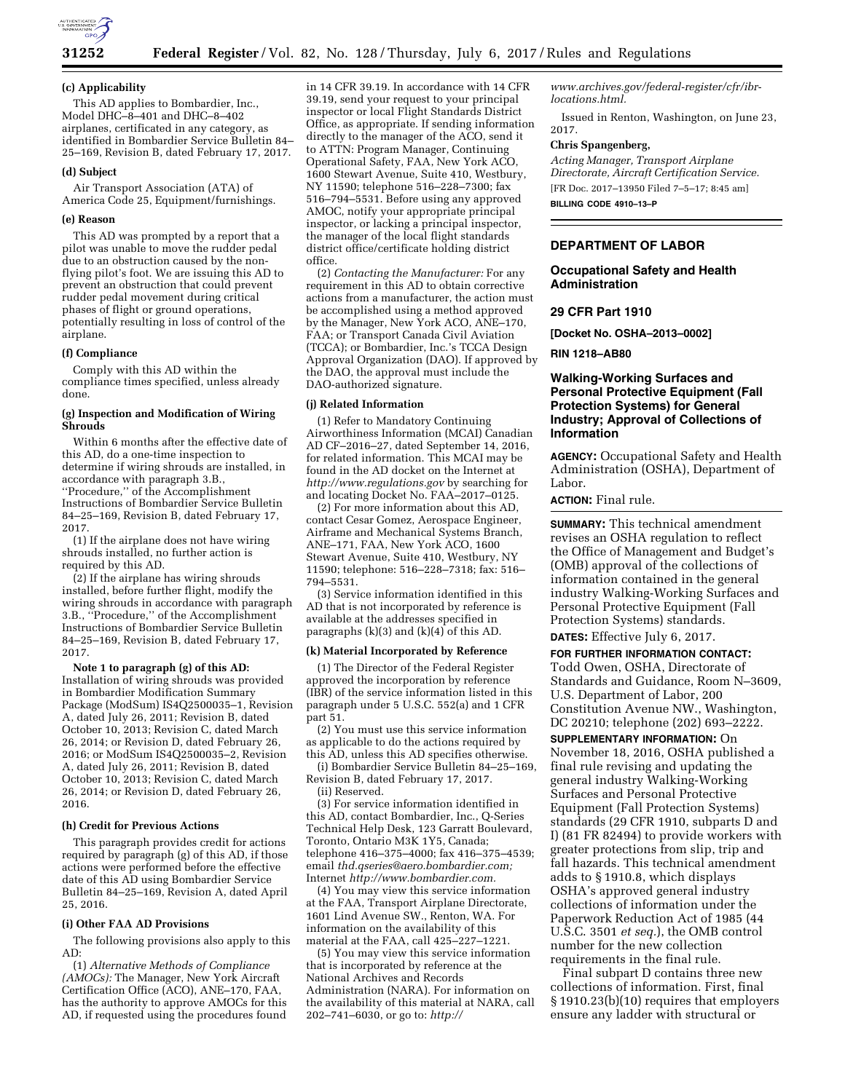

# **31252 Federal Register** / Vol. 82, No. 128 / Thursday, July 6, 2017 / Rules and Regulations

### **(c) Applicability**

This AD applies to Bombardier, Inc., Model DHC–8–401 and DHC–8–402 airplanes, certificated in any category, as identified in Bombardier Service Bulletin 84– 25–169, Revision B, dated February 17, 2017.

#### **(d) Subject**

Air Transport Association (ATA) of America Code 25, Equipment/furnishings.

#### **(e) Reason**

This AD was prompted by a report that a pilot was unable to move the rudder pedal due to an obstruction caused by the nonflying pilot's foot. We are issuing this AD to prevent an obstruction that could prevent rudder pedal movement during critical phases of flight or ground operations, potentially resulting in loss of control of the airplane.

#### **(f) Compliance**

Comply with this AD within the compliance times specified, unless already done.

#### **(g) Inspection and Modification of Wiring Shrouds**

Within 6 months after the effective date of this AD, do a one-time inspection to determine if wiring shrouds are installed, in accordance with paragraph 3.B., ''Procedure,'' of the Accomplishment Instructions of Bombardier Service Bulletin 84–25–169, Revision B, dated February 17, 2017.

(1) If the airplane does not have wiring shrouds installed, no further action is required by this AD.

(2) If the airplane has wiring shrouds installed, before further flight, modify the wiring shrouds in accordance with paragraph 3.B., ''Procedure,'' of the Accomplishment Instructions of Bombardier Service Bulletin 84–25–169, Revision B, dated February 17, 2017.

**Note 1 to paragraph (g) of this AD:**  Installation of wiring shrouds was provided in Bombardier Modification Summary Package (ModSum) IS4Q2500035–1, Revision A, dated July 26, 2011; Revision B, dated October 10, 2013; Revision C, dated March 26, 2014; or Revision D, dated February 26, 2016; or ModSum IS4Q2500035–2, Revision A, dated July 26, 2011; Revision B, dated October 10, 2013; Revision C, dated March 26, 2014; or Revision D, dated February 26, 2016.

## **(h) Credit for Previous Actions**

This paragraph provides credit for actions required by paragraph (g) of this AD, if those actions were performed before the effective date of this AD using Bombardier Service Bulletin 84–25–169, Revision A, dated April 25, 2016.

### **(i) Other FAA AD Provisions**

The following provisions also apply to this AD:

(1) *Alternative Methods of Compliance (AMOCs):* The Manager, New York Aircraft Certification Office (ACO), ANE–170, FAA, has the authority to approve AMOCs for this AD, if requested using the procedures found

in 14 CFR 39.19. In accordance with 14 CFR 39.19, send your request to your principal inspector or local Flight Standards District Office, as appropriate. If sending information directly to the manager of the ACO, send it to ATTN: Program Manager, Continuing Operational Safety, FAA, New York ACO, 1600 Stewart Avenue, Suite 410, Westbury, NY 11590; telephone 516–228–7300; fax 516–794–5531. Before using any approved AMOC, notify your appropriate principal inspector, or lacking a principal inspector, the manager of the local flight standards district office/certificate holding district office.

(2) *Contacting the Manufacturer:* For any requirement in this AD to obtain corrective actions from a manufacturer, the action must be accomplished using a method approved by the Manager, New York ACO, ANE–170, FAA; or Transport Canada Civil Aviation (TCCA); or Bombardier, Inc.'s TCCA Design Approval Organization (DAO). If approved by the DAO, the approval must include the DAO-authorized signature.

#### **(j) Related Information**

(1) Refer to Mandatory Continuing Airworthiness Information (MCAI) Canadian AD CF–2016–27, dated September 14, 2016, for related information. This MCAI may be found in the AD docket on the Internet at *<http://www.regulations.gov>*by searching for and locating Docket No. FAA–2017–0125.

(2) For more information about this AD, contact Cesar Gomez, Aerospace Engineer, Airframe and Mechanical Systems Branch, ANE–171, FAA, New York ACO, 1600 Stewart Avenue, Suite 410, Westbury, NY 11590; telephone: 516–228–7318; fax: 516– 794–5531.

(3) Service information identified in this AD that is not incorporated by reference is available at the addresses specified in paragraphs (k)(3) and (k)(4) of this AD.

### **(k) Material Incorporated by Reference**

(1) The Director of the Federal Register approved the incorporation by reference (IBR) of the service information listed in this paragraph under 5 U.S.C. 552(a) and 1 CFR part 51.

(2) You must use this service information as applicable to do the actions required by this AD, unless this AD specifies otherwise.

(i) Bombardier Service Bulletin 84–25–169, Revision B, dated February 17, 2017. (ii) Reserved.

(3) For service information identified in this AD, contact Bombardier, Inc., Q-Series Technical Help Desk, 123 Garratt Boulevard, Toronto, Ontario M3K 1Y5, Canada; telephone 416–375–4000; fax 416–375–4539; email *[thd.qseries@aero.bombardier.com;](mailto:thd.qseries@aero.bombardier.com)*  Internet *[http://www.bombardier.com.](http://www.bombardier.com)* 

(4) You may view this service information at the FAA, Transport Airplane Directorate, 1601 Lind Avenue SW., Renton, WA. For information on the availability of this material at the FAA, call 425–227–1221.

(5) You may view this service information that is incorporated by reference at the National Archives and Records Administration (NARA). For information on the availability of this material at NARA, call 202–741–6030, or go to: *[http://](http://www.archives.gov/federal-register/cfr/ibr-locations.html)*

*[www.archives.gov/federal-register/cfr/ibr](http://www.archives.gov/federal-register/cfr/ibr-locations.html)[locations.html.](http://www.archives.gov/federal-register/cfr/ibr-locations.html)* 

Issued in Renton, Washington, on June 23, 2017.

## **Chris Spangenberg,**

*Acting Manager, Transport Airplane Directorate, Aircraft Certification Service.*  [FR Doc. 2017–13950 Filed 7–5–17; 8:45 am] **BILLING CODE 4910–13–P** 

## **DEPARTMENT OF LABOR**

**Occupational Safety and Health Administration** 

### **29 CFR Part 1910**

**[Docket No. OSHA–2013–0002]** 

**RIN 1218–AB80** 

# **Walking-Working Surfaces and Personal Protective Equipment (Fall Protection Systems) for General Industry; Approval of Collections of Information**

**AGENCY:** Occupational Safety and Health Administration (OSHA), Department of Labor.

**ACTION:** Final rule.

**SUMMARY:** This technical amendment revises an OSHA regulation to reflect the Office of Management and Budget's (OMB) approval of the collections of information contained in the general industry Walking-Working Surfaces and Personal Protective Equipment (Fall Protection Systems) standards.

**DATES:** Effective July 6, 2017.

# **FOR FURTHER INFORMATION CONTACT:**  Todd Owen, OSHA, Directorate of Standards and Guidance, Room N–3609, U.S. Department of Labor, 200 Constitution Avenue NW., Washington, DC 20210; telephone (202) 693–2222.

**SUPPLEMENTARY INFORMATION:** On November 18, 2016, OSHA published a final rule revising and updating the general industry Walking-Working Surfaces and Personal Protective Equipment (Fall Protection Systems) standards (29 CFR 1910, subparts D and I) (81 FR 82494) to provide workers with greater protections from slip, trip and fall hazards. This technical amendment adds to § 1910.8, which displays OSHA's approved general industry collections of information under the Paperwork Reduction Act of 1985 (44 U.S.C. 3501 *et seq.*), the OMB control number for the new collection requirements in the final rule.

Final subpart D contains three new collections of information. First, final § 1910.23(b)(10) requires that employers ensure any ladder with structural or